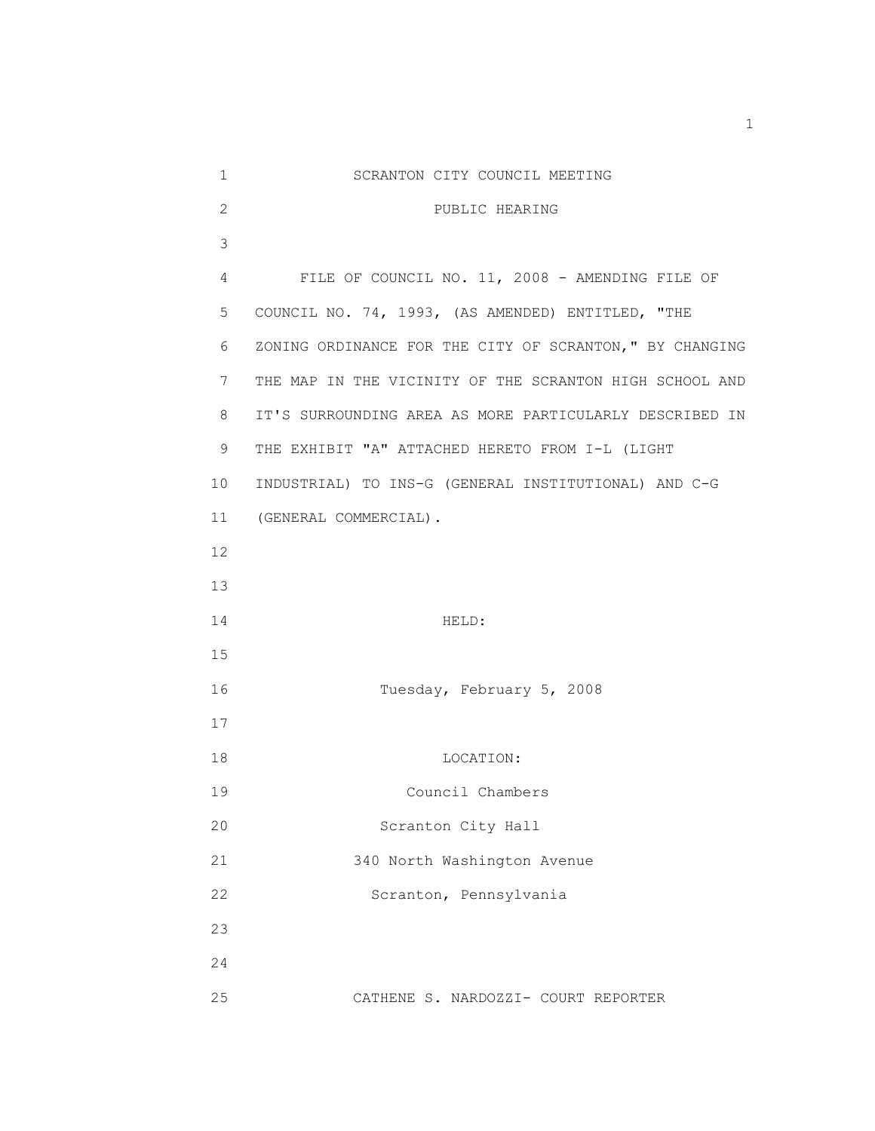| $\mathbf 1$    | SCRANTON CITY COUNCIL MEETING                            |
|----------------|----------------------------------------------------------|
| $\overline{2}$ | PUBLIC HEARING                                           |
| 3              |                                                          |
| 4              | FILE OF COUNCIL NO. 11, 2008 - AMENDING FILE OF          |
| 5              | COUNCIL NO. 74, 1993, (AS AMENDED) ENTITLED, "THE        |
| 6              | ZONING ORDINANCE FOR THE CITY OF SCRANTON, " BY CHANGING |
| 7              | THE MAP IN THE VICINITY OF THE SCRANTON HIGH SCHOOL AND  |
| 8              | IT'S SURROUNDING AREA AS MORE PARTICULARLY DESCRIBED IN  |
| 9              | THE EXHIBIT "A" ATTACHED HERETO FROM I-L (LIGHT          |
| 10             | INDUSTRIAL) TO INS-G (GENERAL INSTITUTIONAL) AND C-G     |
| 11             | (GENERAL COMMERCIAL).                                    |
| 12             |                                                          |
| 13             |                                                          |
| 14             | HELD:                                                    |
| 15             |                                                          |
| 16             | Tuesday, February 5, 2008                                |
| 17             |                                                          |
| 18             | LOCATION:                                                |
| 19             | Council Chambers                                         |
| 20             | Scranton City Hall                                       |
| 21             | 340 North Washington Avenue                              |
| 22             | Scranton, Pennsylvania                                   |
| 23             |                                                          |
| 24             |                                                          |
| 25             | CATHENE S. NARDOZZI- COURT REPORTER                      |

1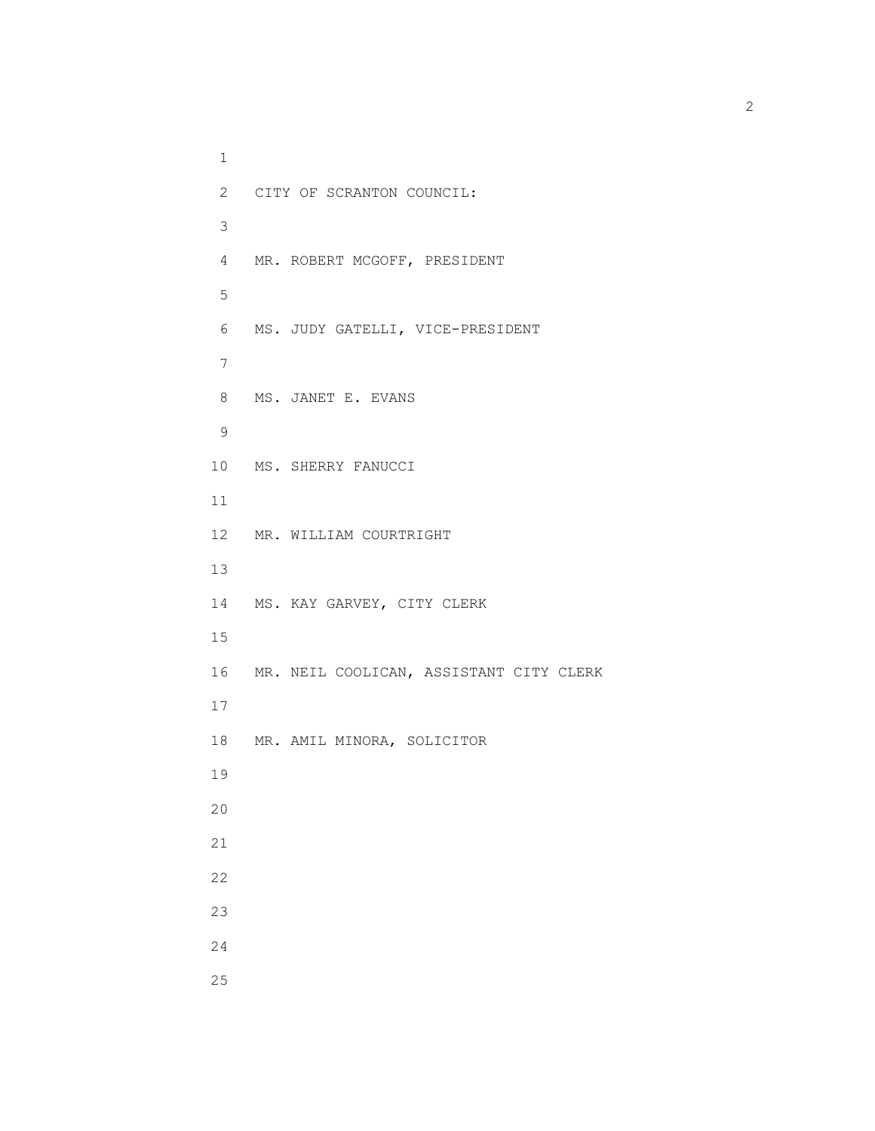1 2 CITY OF SCRANTON COUNCIL: 3 4 MR. ROBERT MCGOFF, PRESIDENT 5 6 MS. JUDY GATELLI, VICE-PRESIDENT 7 8 MS. JANET E. EVANS 9 10 MS. SHERRY FANUCCI 11 12 MR. WILLIAM COURTRIGHT 13 14 MS. KAY GARVEY, CITY CLERK 15 16 MR. NEIL COOLICAN, ASSISTANT CITY CLERK 17 18 MR. AMIL MINORA, SOLICITOR 19 20 21 22 23 24 25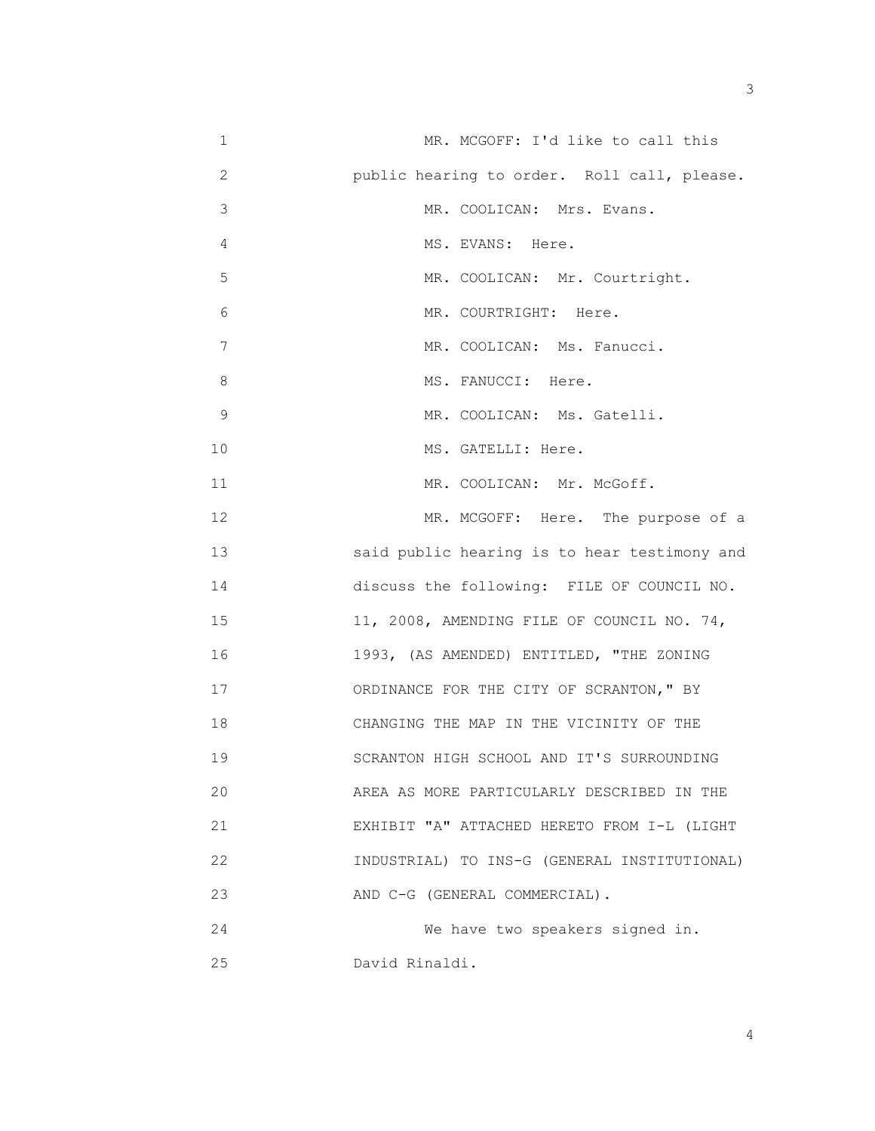| 1            | MR. MCGOFF: I'd like to call this            |
|--------------|----------------------------------------------|
| $\mathbf{2}$ | public hearing to order. Roll call, please.  |
| 3            | MR. COOLICAN: Mrs. Evans.                    |
| 4            | MS. EVANS: Here.                             |
| 5            | MR. COOLICAN: Mr. Courtright.                |
| 6            | MR. COURTRIGHT: Here.                        |
| 7            | MR. COOLICAN: Ms. Fanucci.                   |
| 8            | MS. FANUCCI: Here.                           |
| 9            | MR. COOLICAN: Ms. Gatelli.                   |
| 10           | MS. GATELLI: Here.                           |
| 11           | MR. COOLICAN: Mr. McGoff.                    |
| 12           | MR. MCGOFF: Here. The purpose of a           |
| 13           | said public hearing is to hear testimony and |
| 14           | discuss the following: FILE OF COUNCIL NO.   |
| 15           | 11, 2008, AMENDING FILE OF COUNCIL NO. 74,   |
| 16           | 1993, (AS AMENDED) ENTITLED, "THE ZONING     |
| 17           | ORDINANCE FOR THE CITY OF SCRANTON, " BY     |
| 18           | CHANGING THE MAP IN THE VICINITY OF THE      |
| 19           | SCRANTON HIGH SCHOOL AND IT'S SURROUNDING    |
| 20           | AREA AS MORE PARTICULARLY DESCRIBED IN THE   |
| 21           | EXHIBIT "A" ATTACHED HERETO FROM I-L (LIGHT  |
| 22           | INDUSTRIAL) TO INS-G (GENERAL INSTITUTIONAL) |
| 23           | AND C-G (GENERAL COMMERCIAL).                |

 24 We have two speakers signed in. 25 David Rinaldi.

4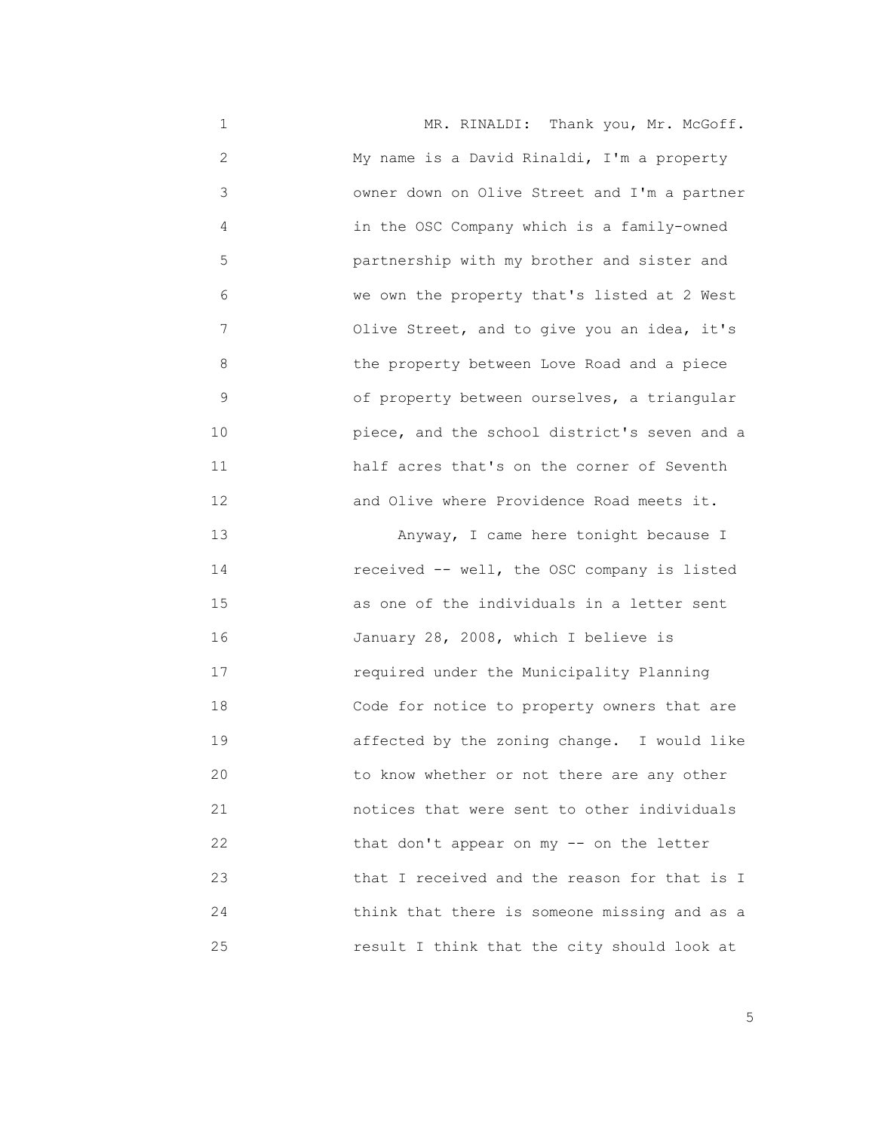1 MR. RINALDI: Thank you, Mr. McGoff. 2 My name is a David Rinaldi, I'm a property 3 owner down on Olive Street and I'm a partner 4 in the OSC Company which is a family-owned 5 partnership with my brother and sister and 6 we own the property that's listed at 2 West 7 Olive Street, and to give you an idea, it's 8 the property between Love Road and a piece 9 6 of property between ourselves, a triangular 10 piece, and the school district's seven and a 11 half acres that's on the corner of Seventh 12 and Olive where Providence Road meets it. 13 Anyway, I came here tonight because I 14 received -- well, the OSC company is listed

 15 as one of the individuals in a letter sent 16 January 28, 2008, which I believe is 17 required under the Municipality Planning 18 Code for notice to property owners that are 19 affected by the zoning change. I would like 20 to know whether or not there are any other 21 notices that were sent to other individuals 22 that don't appear on my -- on the letter 23 that I received and the reason for that is I 24 think that there is someone missing and as a 25 result I think that the city should look at

<u>5</u> September 2005 and 2006 and 2007 and 2007 and 2008 and 2007 and 2008 and 2008 and 2008 and 2008 and 2008 and 2008 and 2008 and 2008 and 2008 and 2008 and 2008 and 2008 and 2008 and 2008 and 2008 and 2008 and 2008 and 2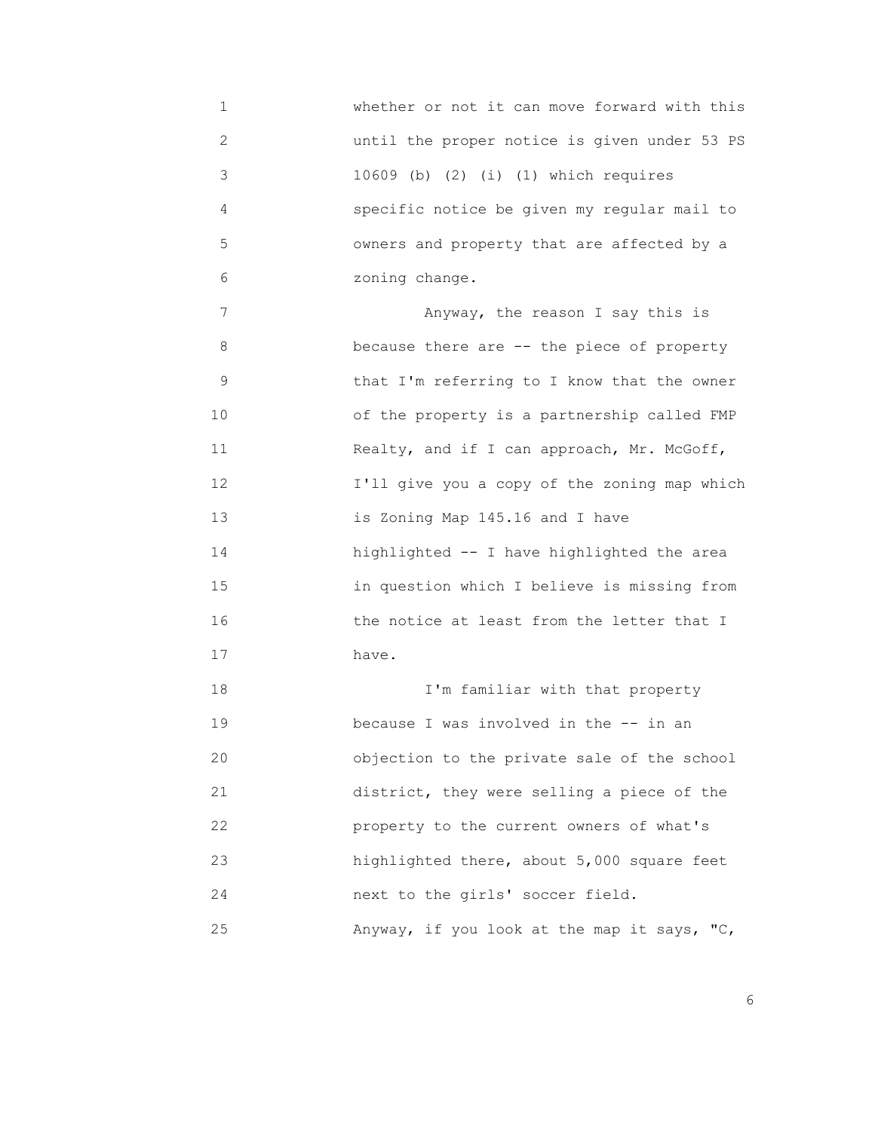1 whether or not it can move forward with this 2 until the proper notice is given under 53 PS 3 10609 (b) (2) (i) (1) which requires 4 specific notice be given my regular mail to 5 owners and property that are affected by a 6 zoning change.

 7 Anyway, the reason I say this is 8 because there are -- the piece of property 9 that I'm referring to I know that the owner 10 of the property is a partnership called FMP 11 Realty, and if I can approach, Mr. McGoff, 12 I'll give you a copy of the zoning map which 13 is Zoning Map 145.16 and I have 14 highlighted -- I have highlighted the area 15 in question which I believe is missing from 16 the notice at least from the letter that I 17 have.

 18 I'm familiar with that property 19 because I was involved in the -- in an 20 objection to the private sale of the school 21 district, they were selling a piece of the 22 property to the current owners of what's 23 highlighted there, about 5,000 square feet 24 next to the girls' soccer field. 25 Anyway, if you look at the map it says, "C,

<u>6. In the set of the set of the set of the set of the set of the set of the set of the set of the set of the set of the set of the set of the set of the set of the set of the set of the set of the set of the set of the se</u>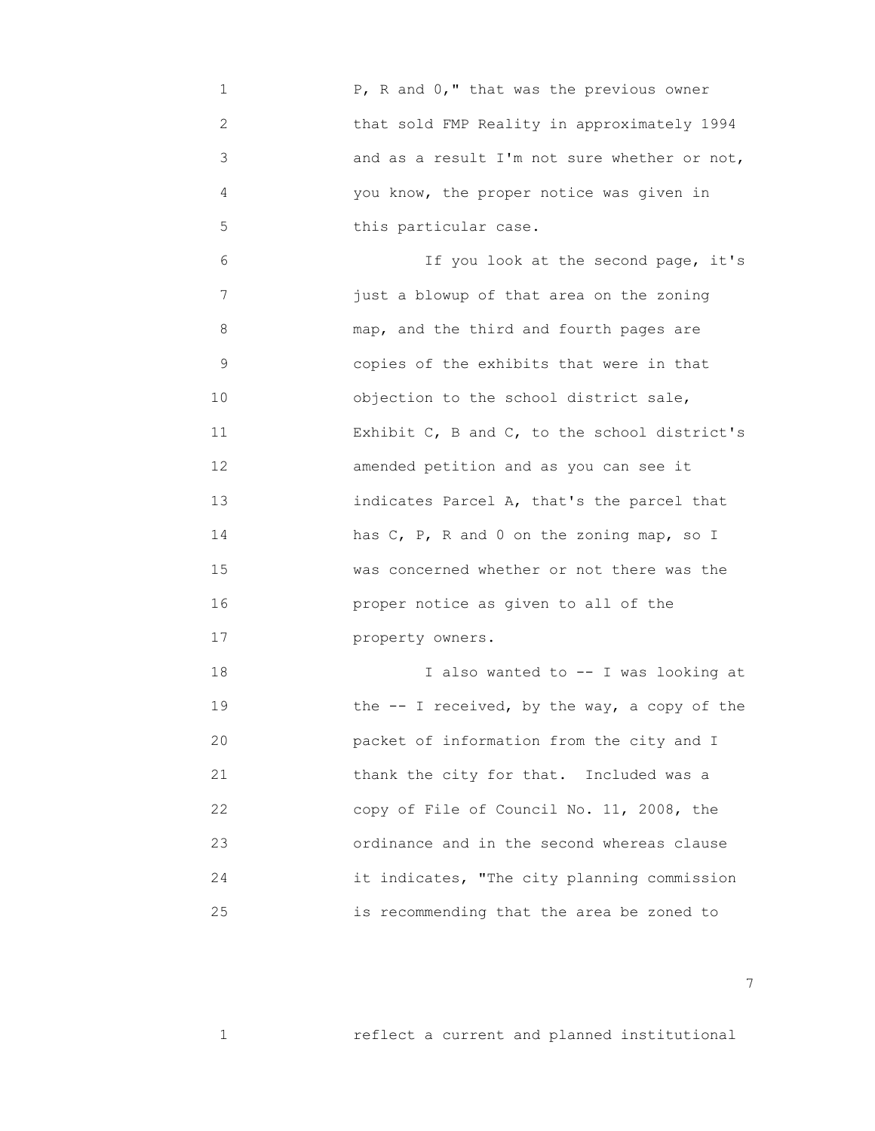1 P, R and 0," that was the previous owner 2 that sold FMP Reality in approximately 1994 3 and as a result I'm not sure whether or not, 4 you know, the proper notice was given in 5 this particular case.

 6 If you look at the second page, it's 7 just a blowup of that area on the zoning 8 map, and the third and fourth pages are 9 copies of the exhibits that were in that 10 objection to the school district sale, 11 **Exhibit C, B and C, to the school district's**  12 amended petition and as you can see it 13 indicates Parcel A, that's the parcel that 14 has C, P, R and 0 on the zoning map, so I 15 was concerned whether or not there was the 16 proper notice as given to all of the 17 property owners.

 18 I also wanted to -- I was looking at 19 the -- I received, by the way, a copy of the 20 packet of information from the city and I 21 thank the city for that. Included was a 22 copy of File of Council No. 11, 2008, the 23 ordinance and in the second whereas clause 24 it indicates, "The city planning commission 25 is recommending that the area be zoned to

7

1 reflect a current and planned institutional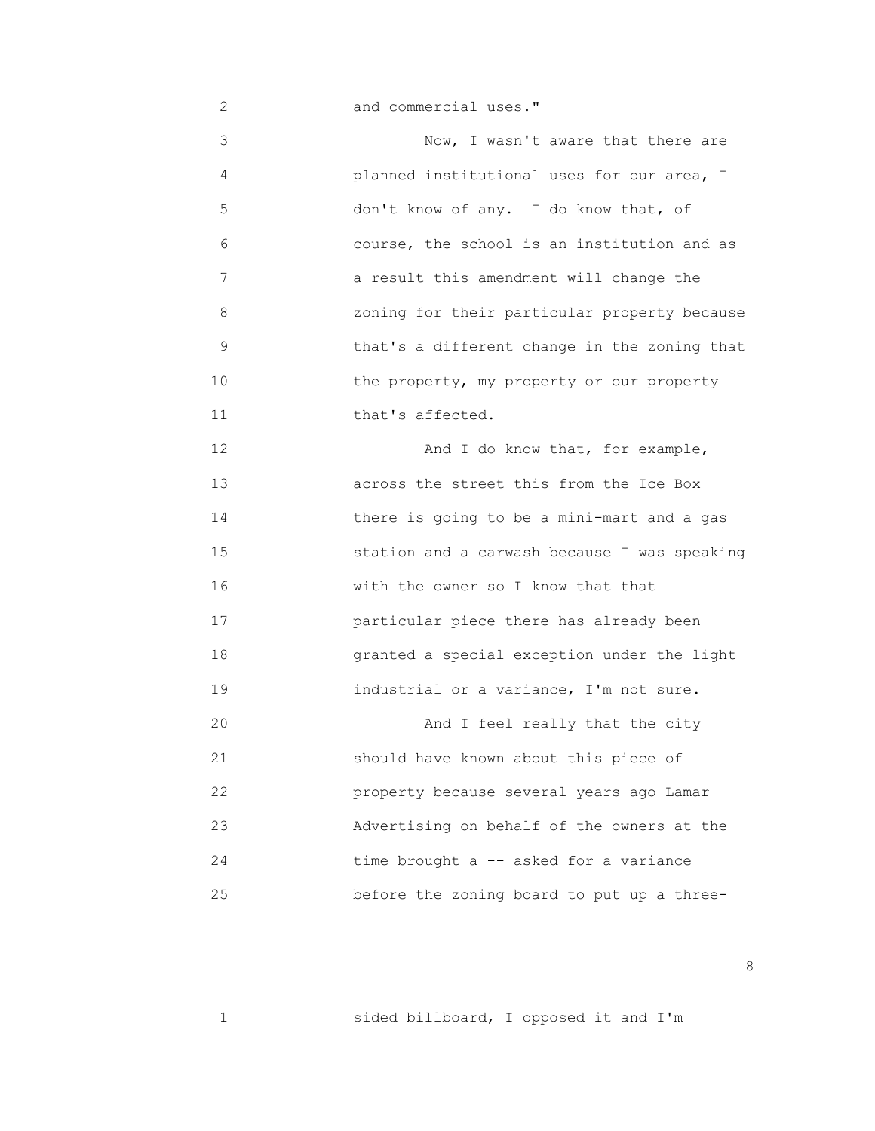2 and commercial uses." 3 Now, I wasn't aware that there are 4 planned institutional uses for our area, I 5 don't know of any. I do know that, of 6 course, the school is an institution and as 7 a result this amendment will change the 8 zoning for their particular property because 9 that's a different change in the zoning that 10 **10** the property, my property or our property 11 **that's affected.**  12 And I do know that, for example, 13 across the street this from the Ice Box 14 there is going to be a mini-mart and a gas 15 station and a carwash because I was speaking 16 With the owner so I know that that 17 particular piece there has already been 18 granted a special exception under the light 19 industrial or a variance, I'm not sure. 20 And I feel really that the city 21 should have known about this piece of 22 property because several years ago Lamar 23 Advertising on behalf of the owners at the 24 time brought a -- asked for a variance 25 before the zoning board to put up a three-

<u>and the state of the state of the state of the state of the state of the state of the state of the state of the state of the state of the state of the state of the state of the state of the state of the state of the state</u>

1 sided billboard, I opposed it and I'm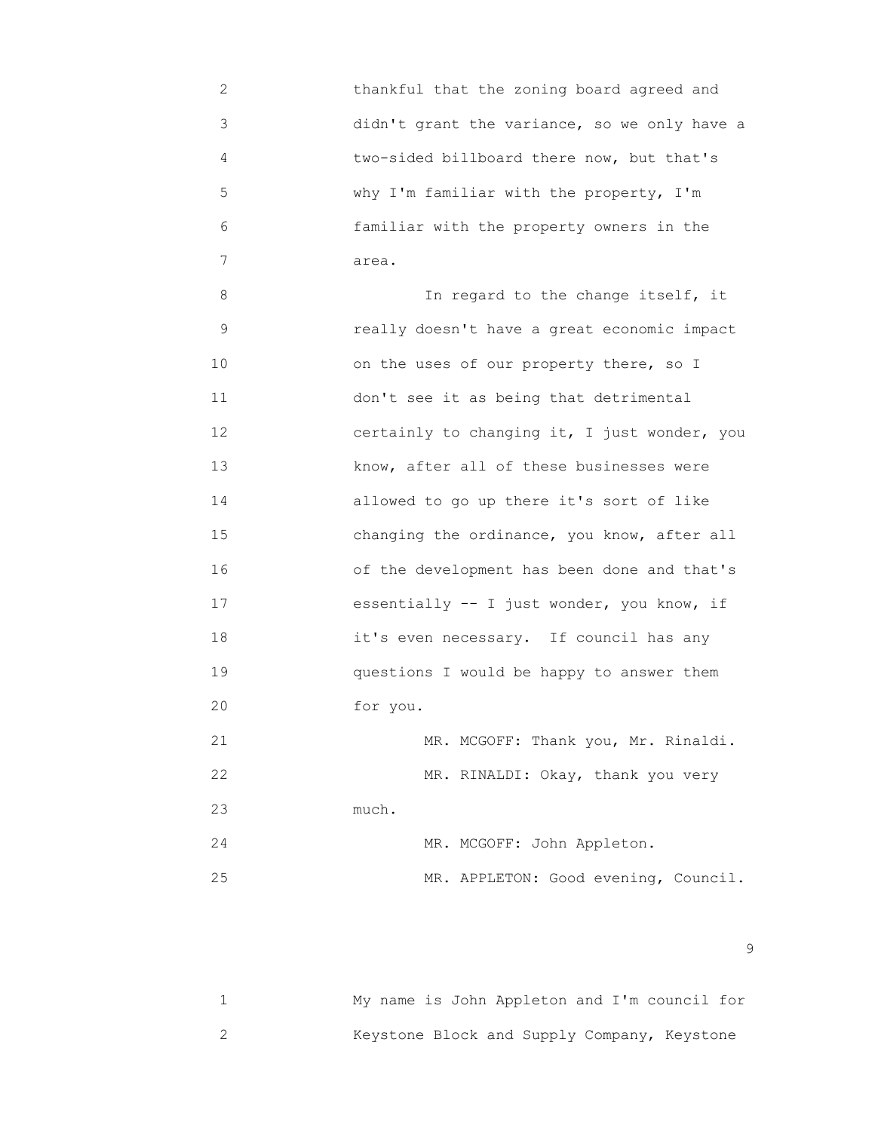2 thankful that the zoning board agreed and 3 didn't grant the variance, so we only have a 4 two-sided billboard there now, but that's 5 why I'm familiar with the property, I'm 6 familiar with the property owners in the 7 area.

 8 In regard to the change itself, it 9 really doesn't have a great economic impact 10 on the uses of our property there, so I 11 don't see it as being that detrimental 12 certainly to changing it, I just wonder, you 13 know, after all of these businesses were 14 allowed to go up there it's sort of like 15 changing the ordinance, you know, after all 16 of the development has been done and that's 17 essentially -- I just wonder, you know, if 18 it's even necessary. If council has any 19 questions I would be happy to answer them 20 for you. 21 MR. MCGOFF: Thank you, Mr. Rinaldi. 22 MR. RINALDI: Okay, thank you very 23 much.

 24 MR. MCGOFF: John Appleton. 25 MR. APPLETON: Good evening, Council.

en de la construction de la construction de la construction de la construction de la construction de la constr<br>1990 : la construction de la construction de la construction de la construction de la construction de la const

| My name is John Appleton and I'm council for |  |  |  |  |
|----------------------------------------------|--|--|--|--|
| Keystone Block and Supply Company, Keystone  |  |  |  |  |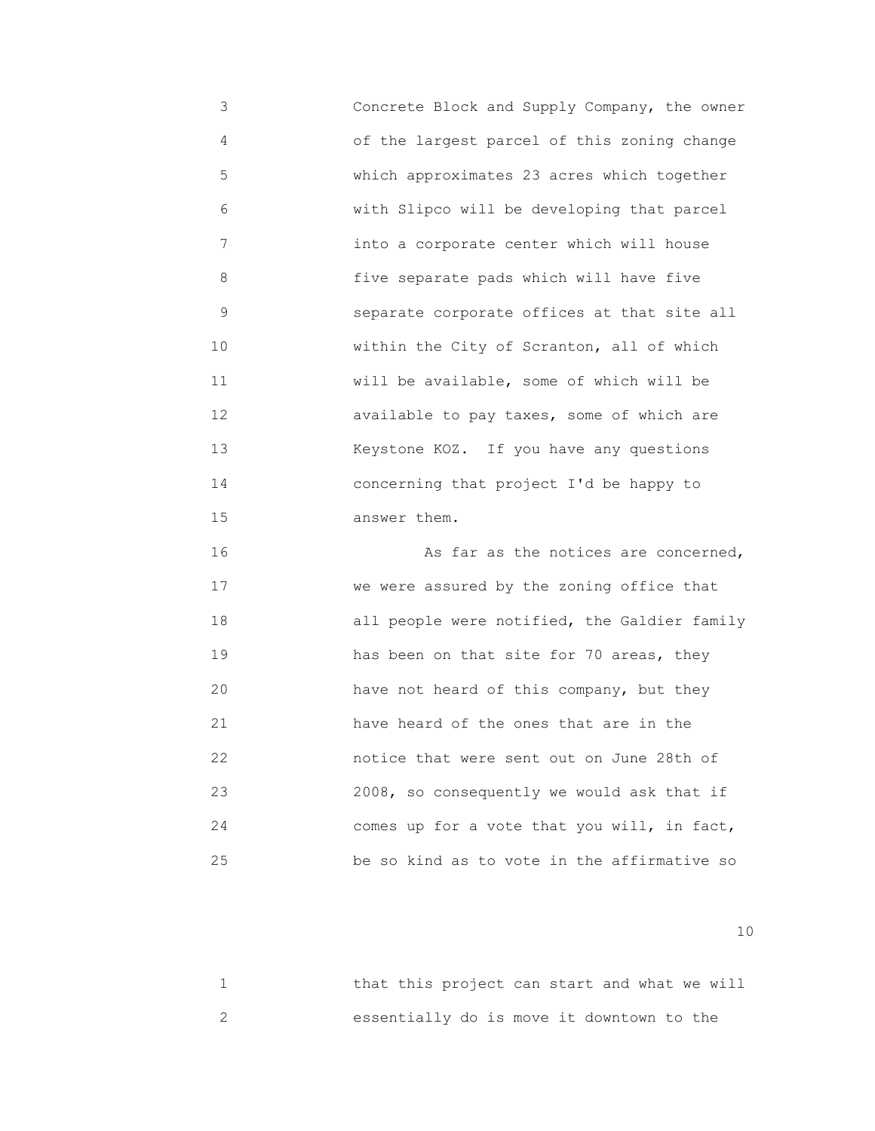3 Concrete Block and Supply Company, the owner 4 of the largest parcel of this zoning change 5 which approximates 23 acres which together 6 with Slipco will be developing that parcel 7 into a corporate center which will house 8 five separate pads which will have five 9 separate corporate offices at that site all 10 **within the City of Scranton, all of which**  11 will be available, some of which will be 12 available to pay taxes, some of which are 13 Keystone KOZ. If you have any questions 14 concerning that project I'd be happy to 15 answer them.

 16 As far as the notices are concerned, 17 We were assured by the zoning office that 18 all people were notified, the Galdier family 19 has been on that site for 70 areas, they 20 have not heard of this company, but they 21 have heard of the ones that are in the 22 notice that were sent out on June 28th of 23 2008, so consequently we would ask that if 24 comes up for a vote that you will, in fact, 25 be so kind as to vote in the affirmative so

10

| that this project can start and what we will |  |  |  |  |  |
|----------------------------------------------|--|--|--|--|--|
| essentially do is move it downtown to the    |  |  |  |  |  |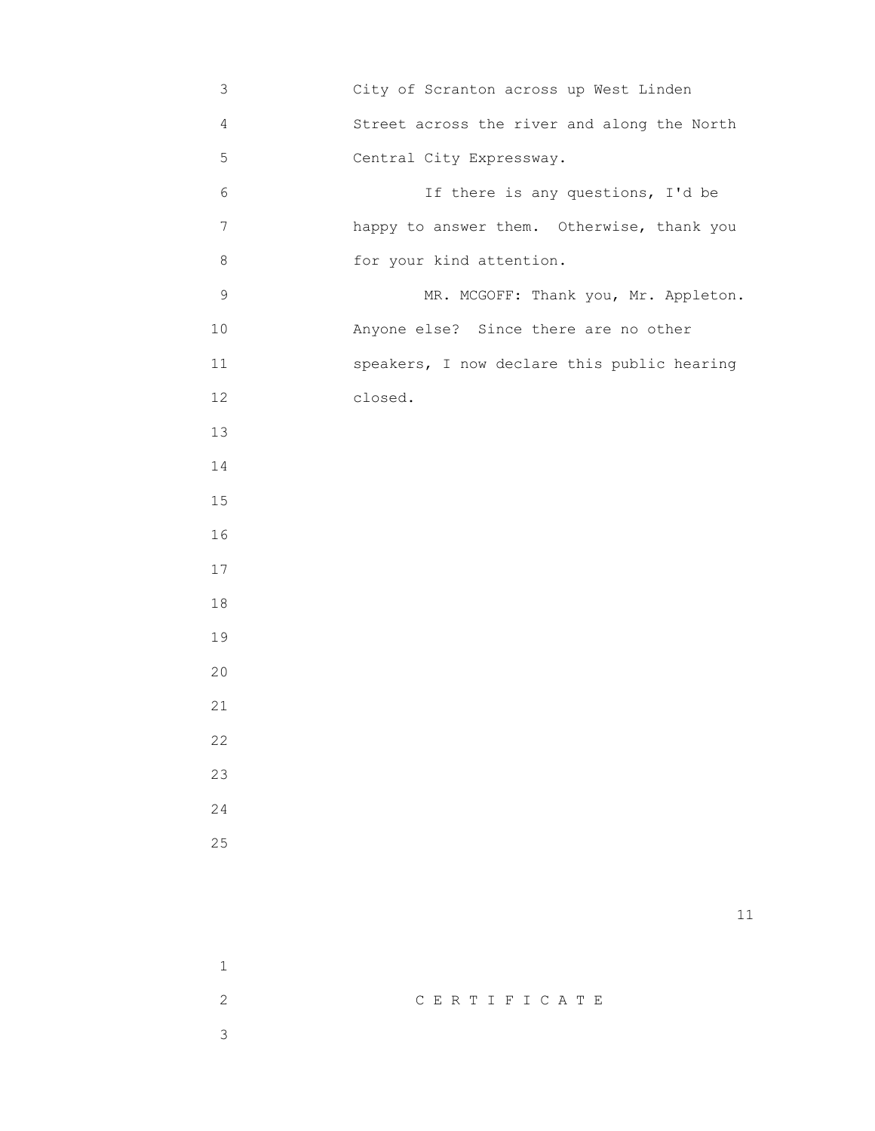| 3              | City of Scranton across up West Linden      |
|----------------|---------------------------------------------|
| 4              | Street across the river and along the North |
| 5              | Central City Expressway.                    |
| 6              | If there is any questions, I'd be           |
| $\overline{7}$ | happy to answer them. Otherwise, thank you  |
| 8              | for your kind attention.                    |
| $\mathsf 9$    | MR. MCGOFF: Thank you, Mr. Appleton.        |
| 10             | Anyone else? Since there are no other       |
| 11             | speakers, I now declare this public hearing |
| 12             | closed.                                     |
| 13             |                                             |
| 14             |                                             |
| 15             |                                             |
| 16             |                                             |
| 17             |                                             |
| 18             |                                             |
| 19             |                                             |
| 20             |                                             |
| 21             |                                             |
| 22             |                                             |
| 23             |                                             |
| 24             |                                             |
| 25             |                                             |
|                |                                             |
|                | 11                                          |
|                |                                             |
| $\mathbf 1$    |                                             |

 2 C E R T I F I C A T E 3